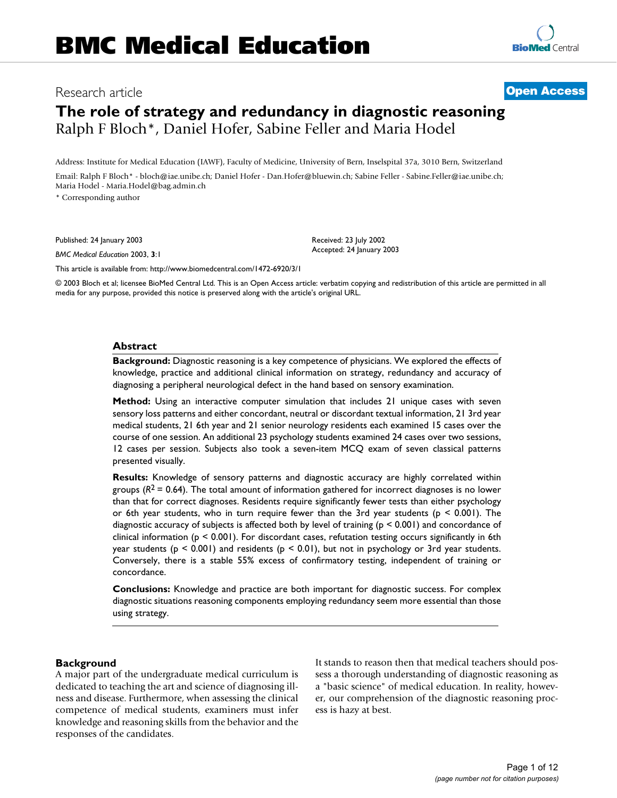# Research article **[Open Access](http://www.biomedcentral.com/info/about/charter/)**

# **The role of strategy and redundancy in diagnostic reasoning** Ralph F Bloch\*, Daniel Hofer, Sabine Feller and Maria Hodel

Address: Institute for Medical Education (IAWF), Faculty of Medicine, University of Bern, Inselspital 37a, 3010 Bern, Switzerland Email: Ralph F Bloch\* - bloch@iae.unibe.ch; Daniel Hofer - Dan.Hofer@bluewin.ch; Sabine Feller - Sabine.Feller@iae.unibe.ch; Maria Hodel - Maria.Hodel@bag.admin.ch

\* Corresponding author

Published: 24 January 2003

*BMC Medical Education* 2003, **3**:1

[This article is available from: http://www.biomedcentral.com/1472-6920/3/1](http://www.biomedcentral.com/1472-6920/3/1)

© 2003 Bloch et al; licensee BioMed Central Ltd. This is an Open Access article: verbatim copying and redistribution of this article are permitted in all media for any purpose, provided this notice is preserved along with the article's original URL.

#### **Abstract**

**Background:** Diagnostic reasoning is a key competence of physicians. We explored the effects of knowledge, practice and additional clinical information on strategy, redundancy and accuracy of diagnosing a peripheral neurological defect in the hand based on sensory examination.

**Method:** Using an interactive computer simulation that includes 21 unique cases with seven sensory loss patterns and either concordant, neutral or discordant textual information, 21 3rd year medical students, 21 6th year and 21 senior neurology residents each examined 15 cases over the course of one session. An additional 23 psychology students examined 24 cases over two sessions, 12 cases per session. Subjects also took a seven-item MCQ exam of seven classical patterns presented visually.

**Results:** Knowledge of sensory patterns and diagnostic accuracy are highly correlated within groups ( $R^2$  = 0.64). The total amount of information gathered for incorrect diagnoses is no lower than that for correct diagnoses. Residents require significantly fewer tests than either psychology or 6th year students, who in turn require fewer than the 3rd year students ( $p \le 0.001$ ). The diagnostic accuracy of subjects is affected both by level of training (p < 0.001) and concordance of clinical information ( $p \le 0.001$ ). For discordant cases, refutation testing occurs significantly in 6th year students ( $p < 0.001$ ) and residents ( $p < 0.01$ ), but not in psychology or 3rd year students. Conversely, there is a stable 55% excess of confirmatory testing, independent of training or concordance.

**Conclusions:** Knowledge and practice are both important for diagnostic success. For complex diagnostic situations reasoning components employing redundancy seem more essential than those using strategy.

#### **Background**

A major part of the undergraduate medical curriculum is dedicated to teaching the art and science of diagnosing illness and disease. Furthermore, when assessing the clinical competence of medical students, examiners must infer knowledge and reasoning skills from the behavior and the responses of the candidates.

It stands to reason then that medical teachers should possess a thorough understanding of diagnostic reasoning as a "basic science" of medical education. In reality, however, our comprehension of the diagnostic reasoning process is hazy at best.

Received: 23 July 2002 Accepted: 24 January 2003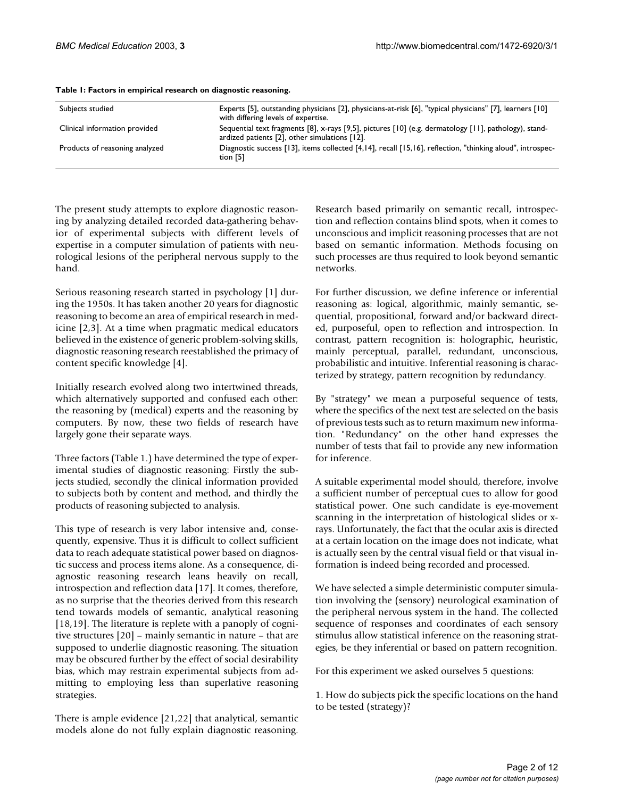| Subjects studied               | Experts [5], outstanding physicians [2], physicians-at-risk [6], "typical physicians" [7], learners [10]<br>with differing levels of expertise.        |
|--------------------------------|--------------------------------------------------------------------------------------------------------------------------------------------------------|
| Clinical information provided  | Sequential text fragments [8], x-rays [9,5], pictures [10] (e.g. dermatology [11], pathology), stand-<br>ardized patients [2], other simulations [12]. |
| Products of reasoning analyzed | Diagnostic success [13], items collected [4,14], recall [15,16], reflection, "thinking aloud", introspec-<br>tion $[5]$                                |

#### <span id="page-1-0"></span>**Table 1: Factors in empirical research on diagnostic reasoning.**

The present study attempts to explore diagnostic reasoning by analyzing detailed recorded data-gathering behavior of experimental subjects with different levels of expertise in a computer simulation of patients with neurological lesions of the peripheral nervous supply to the hand.

Serious reasoning research started in psychology [1] during the 1950s. It has taken another 20 years for diagnostic reasoning to become an area of empirical research in medicine [2,3]. At a time when pragmatic medical educators believed in the existence of generic problem-solving skills, diagnostic reasoning research reestablished the primacy of content specific knowledge [4].

Initially research evolved along two intertwined threads, which alternatively supported and confused each other: the reasoning by (medical) experts and the reasoning by computers. By now, these two fields of research have largely gone their separate ways.

Three factors (Table [1](#page-1-0).) have determined the type of experimental studies of diagnostic reasoning: Firstly the subjects studied, secondly the clinical information provided to subjects both by content and method, and thirdly the products of reasoning subjected to analysis.

This type of research is very labor intensive and, consequently, expensive. Thus it is difficult to collect sufficient data to reach adequate statistical power based on diagnostic success and process items alone. As a consequence, diagnostic reasoning research leans heavily on recall, introspection and reflection data [17]. It comes, therefore, as no surprise that the theories derived from this research tend towards models of semantic, analytical reasoning [18,19]. The literature is replete with a panoply of cognitive structures [20] – mainly semantic in nature – that are supposed to underlie diagnostic reasoning. The situation may be obscured further by the effect of social desirability bias, which may restrain experimental subjects from admitting to employing less than superlative reasoning strategies.

There is ample evidence [21,22] that analytical, semantic models alone do not fully explain diagnostic reasoning.

Research based primarily on semantic recall, introspection and reflection contains blind spots, when it comes to unconscious and implicit reasoning processes that are not based on semantic information. Methods focusing on such processes are thus required to look beyond semantic networks.

For further discussion, we define inference or inferential reasoning as: logical, algorithmic, mainly semantic, sequential, propositional, forward and/or backward directed, purposeful, open to reflection and introspection. In contrast, pattern recognition is: holographic, heuristic, mainly perceptual, parallel, redundant, unconscious, probabilistic and intuitive. Inferential reasoning is characterized by strategy, pattern recognition by redundancy.

By "strategy" we mean a purposeful sequence of tests, where the specifics of the next test are selected on the basis of previous tests such as to return maximum new information. "Redundancy" on the other hand expresses the number of tests that fail to provide any new information for inference.

A suitable experimental model should, therefore, involve a sufficient number of perceptual cues to allow for good statistical power. One such candidate is eye-movement scanning in the interpretation of histological slides or xrays. Unfortunately, the fact that the ocular axis is directed at a certain location on the image does not indicate, what is actually seen by the central visual field or that visual information is indeed being recorded and processed.

We have selected a simple deterministic computer simulation involving the (sensory) neurological examination of the peripheral nervous system in the hand. The collected sequence of responses and coordinates of each sensory stimulus allow statistical inference on the reasoning strategies, be they inferential or based on pattern recognition.

For this experiment we asked ourselves 5 questions:

1. How do subjects pick the specific locations on the hand to be tested (strategy)?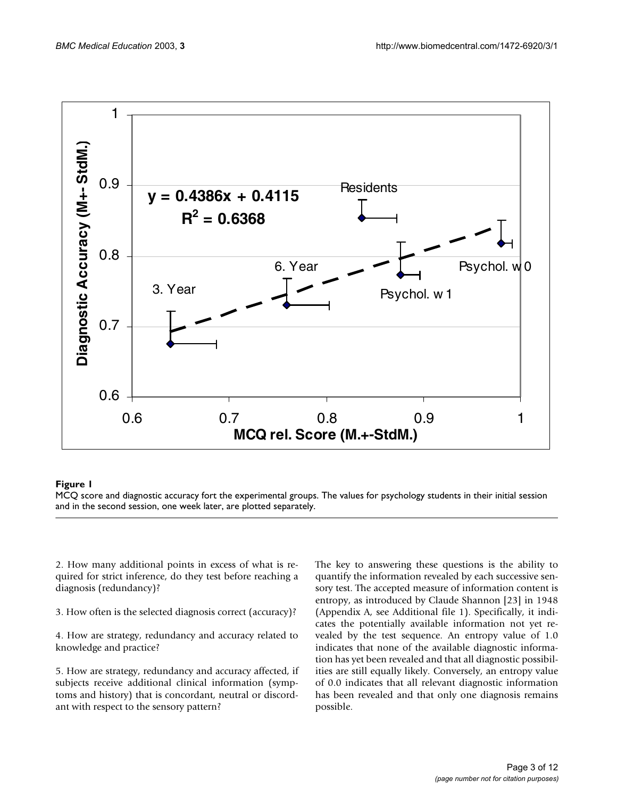

#### **Figure 1**

MCQ score and diagnostic accuracy fort the experimental groups. The values for psychology students in their initial session and in the second session, one week later, are plotted separately.

2. How many additional points in excess of what is required for strict inference, do they test before reaching a diagnosis (redundancy)?

3. How often is the selected diagnosis correct (accuracy)?

4. How are strategy, redundancy and accuracy related to knowledge and practice?

5. How are strategy, redundancy and accuracy affected, if subjects receive additional clinical information (symptoms and history) that is concordant, neutral or discordant with respect to the sensory pattern?

The key to answering these questions is the ability to quantify the information revealed by each successive sensory test. The accepted measure of information content is entropy, as introduced by Claude Shannon [23] in 1948 (Appendix A, see Additional file 1). Specifically, it indicates the potentially available information not yet revealed by the test sequence. An entropy value of 1.0 indicates that none of the available diagnostic information has yet been revealed and that all diagnostic possibilities are still equally likely. Conversely, an entropy value of 0.0 indicates that all relevant diagnostic information has been revealed and that only one diagnosis remains possible.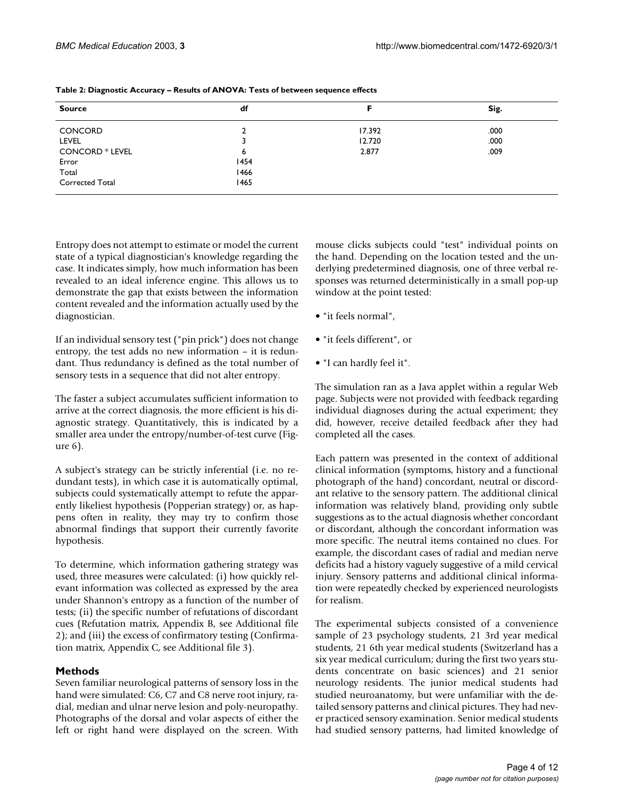| <b>Source</b>          | df   |        | Sig. |  |
|------------------------|------|--------|------|--|
| <b>CONCORD</b>         |      | 17.392 | .000 |  |
| LEVEL                  |      | 12.720 | .000 |  |
| <b>CONCORD * LEVEL</b> | 6    | 2.877  | .009 |  |
| Error                  | 1454 |        |      |  |
| Total                  | 1466 |        |      |  |
| Corrected Total        | 1465 |        |      |  |

<span id="page-3-0"></span>**Table 2: Diagnostic Accuracy – Results of ANOVA: Tests of between sequence effects**

Entropy does not attempt to estimate or model the current state of a typical diagnostician's knowledge regarding the case. It indicates simply, how much information has been revealed to an ideal inference engine. This allows us to demonstrate the gap that exists between the information content revealed and the information actually used by the diagnostician.

If an individual sensory test ("pin prick") does not change entropy, the test adds no new information – it is redundant. Thus redundancy is defined as the total number of sensory tests in a sequence that did not alter entropy.

The faster a subject accumulates sufficient information to arrive at the correct diagnosis, the more efficient is his diagnostic strategy. Quantitatively, this is indicated by a smaller area under the entropy/number-of-test curve (Figure 6).

A subject's strategy can be strictly inferential (i.e. no redundant tests), in which case it is automatically optimal, subjects could systematically attempt to refute the apparently likeliest hypothesis (Popperian strategy) or, as happens often in reality, they may try to confirm those abnormal findings that support their currently favorite hypothesis.

To determine, which information gathering strategy was used, three measures were calculated: (i) how quickly relevant information was collected as expressed by the area under Shannon's entropy as a function of the number of tests; (ii) the specific number of refutations of discordant cues (Refutation matrix, Appendix B, see Additional file 2); and (iii) the excess of confirmatory testing (Confirmation matrix, Appendix C, see Additional file 3).

# **Methods**

Seven familiar neurological patterns of sensory loss in the hand were simulated: C6, C7 and C8 nerve root injury, radial, median and ulnar nerve lesion and poly-neuropathy. Photographs of the dorsal and volar aspects of either the left or right hand were displayed on the screen. With mouse clicks subjects could "test" individual points on the hand. Depending on the location tested and the underlying predetermined diagnosis, one of three verbal responses was returned deterministically in a small pop-up window at the point tested:

- "it feels normal",
- "it feels different", or
- "I can hardly feel it".

The simulation ran as a Java applet within a regular Web page. Subjects were not provided with feedback regarding individual diagnoses during the actual experiment; they did, however, receive detailed feedback after they had completed all the cases.

Each pattern was presented in the context of additional clinical information (symptoms, history and a functional photograph of the hand) concordant, neutral or discordant relative to the sensory pattern. The additional clinical information was relatively bland, providing only subtle suggestions as to the actual diagnosis whether concordant or discordant, although the concordant information was more specific. The neutral items contained no clues. For example, the discordant cases of radial and median nerve deficits had a history vaguely suggestive of a mild cervical injury. Sensory patterns and additional clinical information were repeatedly checked by experienced neurologists for realism.

The experimental subjects consisted of a convenience sample of 23 psychology students, 21 3rd year medical students, 21 6th year medical students (Switzerland has a six year medical curriculum; during the first two years students concentrate on basic sciences) and 21 senior neurology residents. The junior medical students had studied neuroanatomy, but were unfamiliar with the detailed sensory patterns and clinical pictures. They had never practiced sensory examination. Senior medical students had studied sensory patterns, had limited knowledge of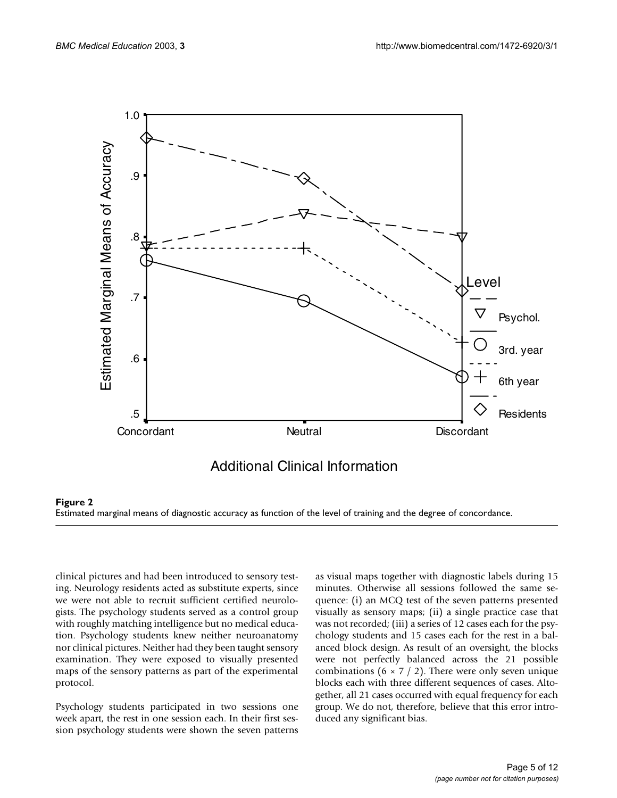

#### **Figure 2**

Estimated marginal means of diagnostic accuracy as function of the level of training and the degree of concordance.

clinical pictures and had been introduced to sensory testing. Neurology residents acted as substitute experts, since we were not able to recruit sufficient certified neurologists. The psychology students served as a control group with roughly matching intelligence but no medical education. Psychology students knew neither neuroanatomy nor clinical pictures. Neither had they been taught sensory examination. They were exposed to visually presented maps of the sensory patterns as part of the experimental protocol.

Psychology students participated in two sessions one week apart, the rest in one session each. In their first session psychology students were shown the seven patterns as visual maps together with diagnostic labels during 15 minutes. Otherwise all sessions followed the same sequence: (i) an MCQ test of the seven patterns presented visually as sensory maps; (ii) a single practice case that was not recorded; (iii) a series of 12 cases each for the psychology students and 15 cases each for the rest in a balanced block design. As result of an oversight, the blocks were not perfectly balanced across the 21 possible combinations (6  $\times$  7 / 2). There were only seven unique blocks each with three different sequences of cases. Altogether, all 21 cases occurred with equal frequency for each group. We do not, therefore, believe that this error introduced any significant bias.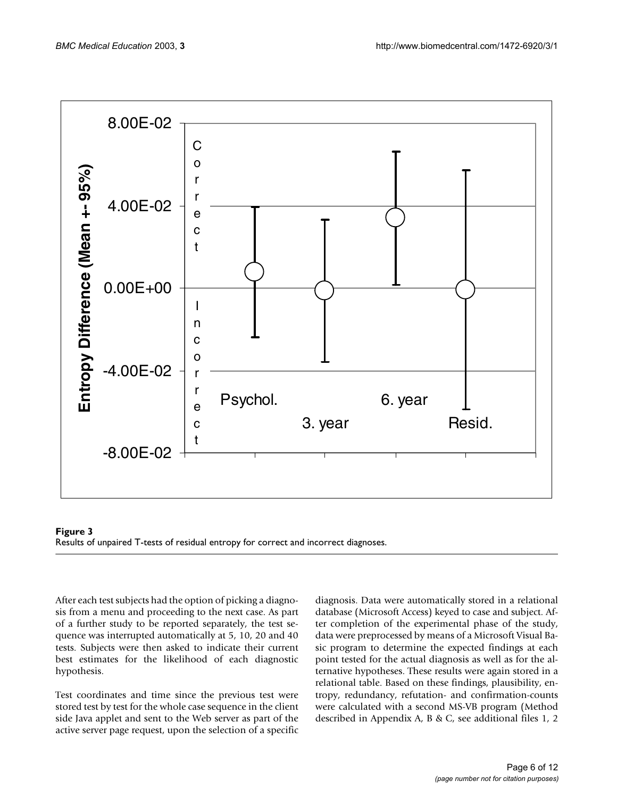![](_page_5_Figure_2.jpeg)

![](_page_5_Figure_3.jpeg)

After each test subjects had the option of picking a diagnosis from a menu and proceeding to the next case. As part of a further study to be reported separately, the test sequence was interrupted automatically at 5, 10, 20 and 40 tests. Subjects were then asked to indicate their current best estimates for the likelihood of each diagnostic hypothesis.

Test coordinates and time since the previous test were stored test by test for the whole case sequence in the client side Java applet and sent to the Web server as part of the active server page request, upon the selection of a specific diagnosis. Data were automatically stored in a relational database (Microsoft Access) keyed to case and subject. After completion of the experimental phase of the study, data were preprocessed by means of a Microsoft Visual Basic program to determine the expected findings at each point tested for the actual diagnosis as well as for the alternative hypotheses. These results were again stored in a relational table. Based on these findings, plausibility, entropy, redundancy, refutation- and confirmation-counts were calculated with a second MS-VB program (Method described in Appendix A, B & C, see additional files 1, 2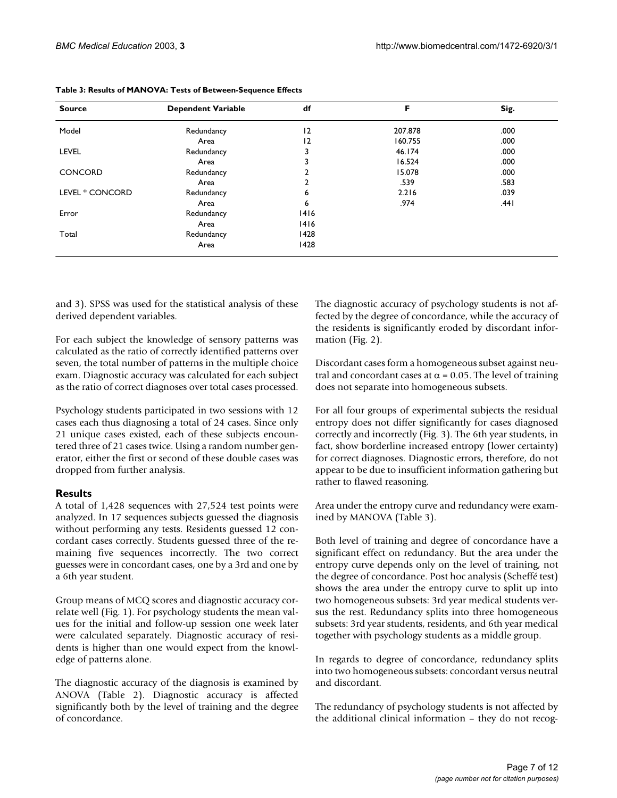| <b>Source</b>   | <b>Dependent Variable</b> | df   | F       | Sig. |
|-----------------|---------------------------|------|---------|------|
| Model           | Redundancy                | 2    | 207.878 | .000 |
|                 | Area                      | 2    | 160.755 | .000 |
| <b>LEVEL</b>    | Redundancy                |      | 46.174  | .000 |
|                 | Area                      |      | 16.524  | .000 |
| <b>CONCORD</b>  | Redundancy                |      | 15.078  | .000 |
|                 | Area                      |      | .539    | .583 |
| LEVEL * CONCORD | Redundancy                | 6    | 2.216   | .039 |
|                 | Area                      | 6    | .974    | .441 |
| Error           | Redundancy                | 1416 |         |      |
|                 | Area                      | 1416 |         |      |
| Total           | Redundancy                | 1428 |         |      |
|                 | Area                      | 1428 |         |      |

<span id="page-6-0"></span>

|  |  | Table 3: Results of MANOVA: Tests of Between-Sequence Effects |  |
|--|--|---------------------------------------------------------------|--|
|  |  |                                                               |  |

and 3). SPSS was used for the statistical analysis of these derived dependent variables.

For each subject the knowledge of sensory patterns was calculated as the ratio of correctly identified patterns over seven, the total number of patterns in the multiple choice exam. Diagnostic accuracy was calculated for each subject as the ratio of correct diagnoses over total cases processed.

Psychology students participated in two sessions with 12 cases each thus diagnosing a total of 24 cases. Since only 21 unique cases existed, each of these subjects encountered three of 21 cases twice. Using a random number generator, either the first or second of these double cases was dropped from further analysis.

# **Results**

A total of 1,428 sequences with 27,524 test points were analyzed. In 17 sequences subjects guessed the diagnosis without performing any tests. Residents guessed 12 concordant cases correctly. Students guessed three of the remaining five sequences incorrectly. The two correct guesses were in concordant cases, one by a 3rd and one by a 6th year student.

Group means of MCQ scores and diagnostic accuracy correlate well (Fig. 1). For psychology students the mean values for the initial and follow-up session one week later were calculated separately. Diagnostic accuracy of residents is higher than one would expect from the knowledge of patterns alone.

The diagnostic accuracy of the diagnosis is examined by ANOVA (Table [2](#page-3-0)). Diagnostic accuracy is affected significantly both by the level of training and the degree of concordance.

The diagnostic accuracy of psychology students is not affected by the degree of concordance, while the accuracy of the residents is significantly eroded by discordant information (Fig. 2).

Discordant cases form a homogeneous subset against neutral and concordant cases at  $\alpha$  = 0.05. The level of training does not separate into homogeneous subsets.

For all four groups of experimental subjects the residual entropy does not differ significantly for cases diagnosed correctly and incorrectly (Fig. 3). The 6th year students, in fact, show borderline increased entropy (lower certainty) for correct diagnoses. Diagnostic errors, therefore, do not appear to be due to insufficient information gathering but rather to flawed reasoning.

Area under the entropy curve and redundancy were examined by MANOVA (Table [3\)](#page-6-0).

Both level of training and degree of concordance have a significant effect on redundancy. But the area under the entropy curve depends only on the level of training, not the degree of concordance. Post hoc analysis (Scheffé test) shows the area under the entropy curve to split up into two homogeneous subsets: 3rd year medical students versus the rest. Redundancy splits into three homogeneous subsets: 3rd year students, residents, and 6th year medical together with psychology students as a middle group.

In regards to degree of concordance, redundancy splits into two homogeneous subsets: concordant versus neutral and discordant.

The redundancy of psychology students is not affected by the additional clinical information – they do not recog-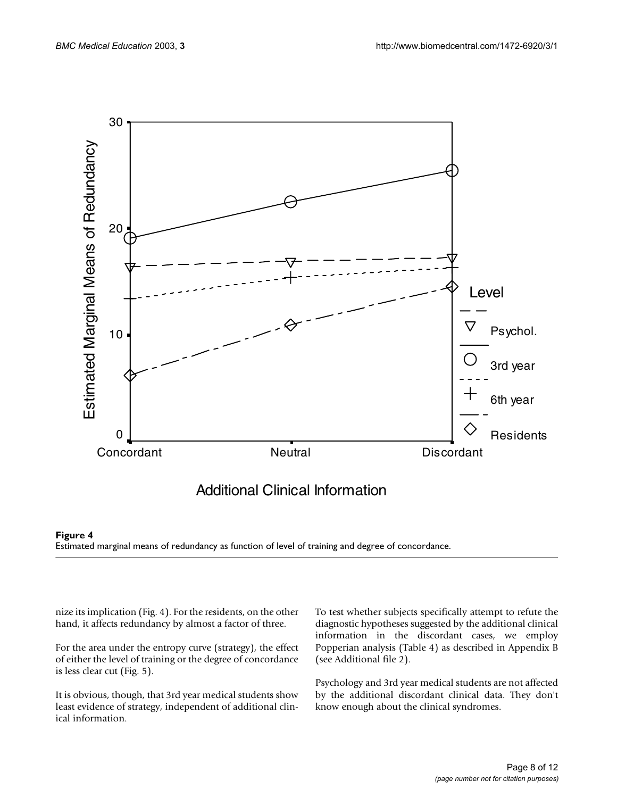![](_page_7_Figure_2.jpeg)

![](_page_7_Figure_3.jpeg)

nize its implication (Fig. 4). For the residents, on the other hand, it affects redundancy by almost a factor of three.

For the area under the entropy curve (strategy), the effect of either the level of training or the degree of concordance is less clear cut (Fig. 5).

It is obvious, though, that 3rd year medical students show least evidence of strategy, independent of additional clinical information.

To test whether subjects specifically attempt to refute the diagnostic hypotheses suggested by the additional clinical information in the discordant cases, we employ Popperian analysis (Table [4](#page-8-0)) as described in Appendix B (see Additional file 2).

Psychology and 3rd year medical students are not affected by the additional discordant clinical data. They don't know enough about the clinical syndromes.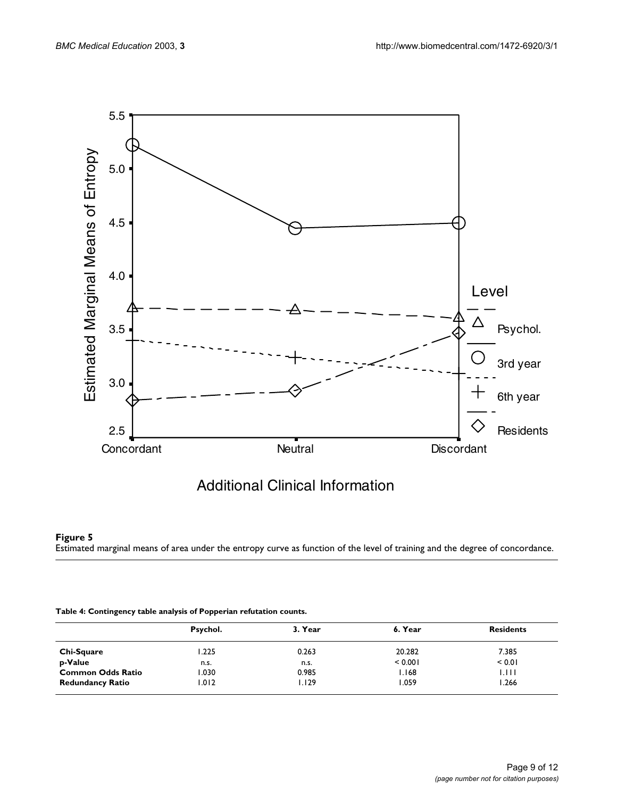![](_page_8_Figure_2.jpeg)

# Additional Clinical Information

#### **Figure 5**

Estimated marginal means of area under the entropy curve as function of the level of training and the degree of concordance.

<span id="page-8-0"></span>

|                          | Psychol. | 3. Year | 6. Year | <b>Residents</b> |
|--------------------------|----------|---------|---------|------------------|
| Chi-Square               | .225     | 0.263   | 20.282  | 7.385            |
| p-Value                  | n.s.     | n.s.    | < 0.001 | < 0.01           |
| <b>Common Odds Ratio</b> | 1.030    | 0.985   | 1.168   | I.I I I          |
| <b>Redundancy Ratio</b>  | 1.012    | 1.129   | 1.059   | 1.266            |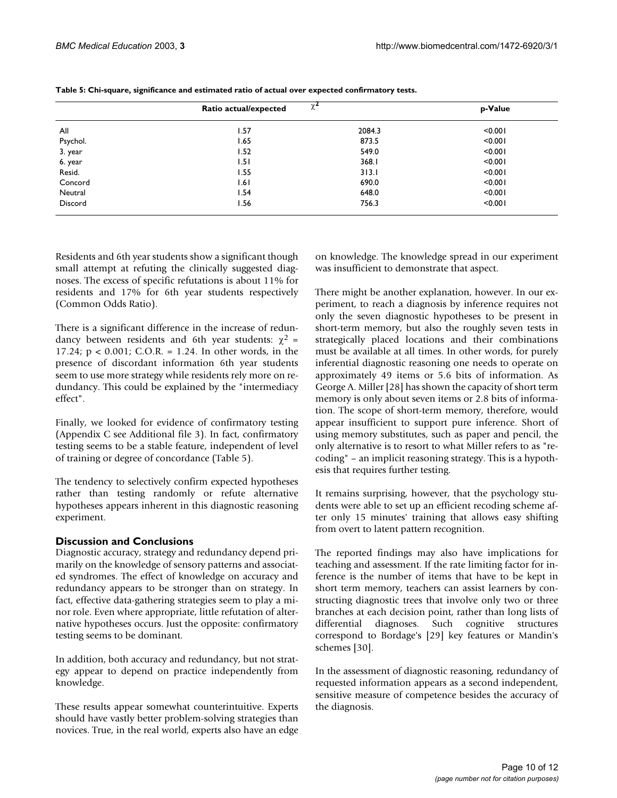|          | Ratio actual/expected | $\chi$ | p-Value |  |
|----------|-----------------------|--------|---------|--|
| All      | 1.57                  | 2084.3 | < 0.001 |  |
| Psychol. | l.65                  | 873.5  | < 0.001 |  |
| 3. year  | 1.52                  | 549.0  | < 0.001 |  |
| 6. year  | 1.51                  | 368.1  | < 0.001 |  |
| Resid.   | 1.55                  | 313.1  | < 0.001 |  |
| Concord  | 1.61                  | 690.0  | < 0.001 |  |
| Neutral  | 1.54                  | 648.0  | < 0.001 |  |
| Discord  | I.56                  | 756.3  | < 0.001 |  |

<span id="page-9-0"></span>**Table 5: Chi-square, significance and estimated ratio of actual over expected confirmatory tests.**

Residents and 6th year students show a significant though small attempt at refuting the clinically suggested diagnoses. The excess of specific refutations is about 11% for residents and 17% for 6th year students respectively (Common Odds Ratio).

There is a significant difference in the increase of redundancy between residents and 6th year students:  $\chi^2$  = 17.24; p < 0.001; C.O.R. = 1.24. In other words, in the presence of discordant information 6th year students seem to use more strategy while residents rely more on redundancy. This could be explained by the "intermediacy effect".

Finally, we looked for evidence of confirmatory testing (Appendix C see Additional file 3). In fact, confirmatory testing seems to be a stable feature, independent of level of training or degree of concordance (Table [5](#page-9-0)).

The tendency to selectively confirm expected hypotheses rather than testing randomly or refute alternative hypotheses appears inherent in this diagnostic reasoning experiment.

#### **Discussion and Conclusions**

Diagnostic accuracy, strategy and redundancy depend primarily on the knowledge of sensory patterns and associated syndromes. The effect of knowledge on accuracy and redundancy appears to be stronger than on strategy. In fact, effective data-gathering strategies seem to play a minor role. Even where appropriate, little refutation of alternative hypotheses occurs. Just the opposite: confirmatory testing seems to be dominant.

In addition, both accuracy and redundancy, but not strategy appear to depend on practice independently from knowledge.

These results appear somewhat counterintuitive. Experts should have vastly better problem-solving strategies than novices. True, in the real world, experts also have an edge on knowledge. The knowledge spread in our experiment was insufficient to demonstrate that aspect.

There might be another explanation, however. In our experiment, to reach a diagnosis by inference requires not only the seven diagnostic hypotheses to be present in short-term memory, but also the roughly seven tests in strategically placed locations and their combinations must be available at all times. In other words, for purely inferential diagnostic reasoning one needs to operate on approximately 49 items or 5.6 bits of information. As George A. Miller [28] has shown the capacity of short term memory is only about seven items or 2.8 bits of information. The scope of short-term memory, therefore, would appear insufficient to support pure inference. Short of using memory substitutes, such as paper and pencil, the only alternative is to resort to what Miller refers to as "recoding" – an implicit reasoning strategy. This is a hypothesis that requires further testing.

It remains surprising, however, that the psychology students were able to set up an efficient recoding scheme after only 15 minutes' training that allows easy shifting from overt to latent pattern recognition.

The reported findings may also have implications for teaching and assessment. If the rate limiting factor for inference is the number of items that have to be kept in short term memory, teachers can assist learners by constructing diagnostic trees that involve only two or three branches at each decision point, rather than long lists of differential diagnoses. Such cognitive structures correspond to Bordage's [29] key features or Mandin's schemes [30].

In the assessment of diagnostic reasoning, redundancy of requested information appears as a second independent, sensitive measure of competence besides the accuracy of the diagnosis.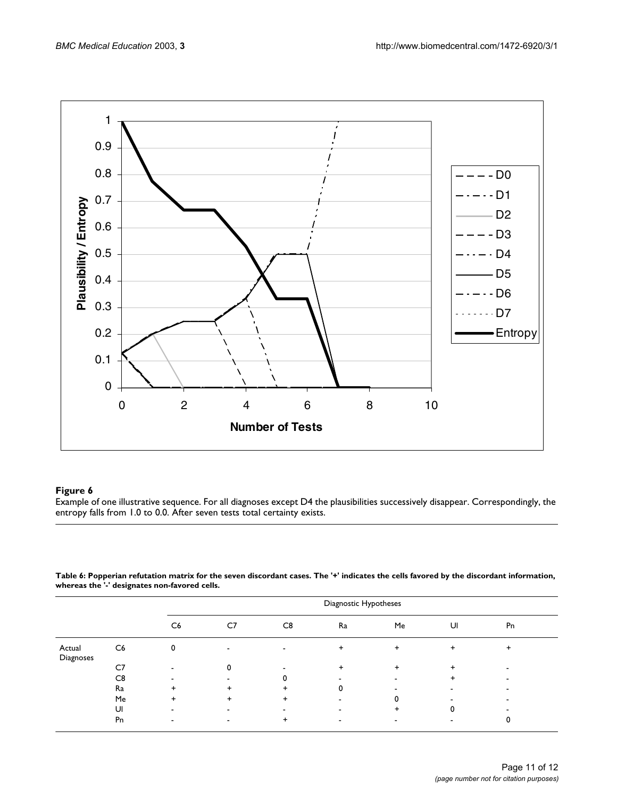![](_page_10_Figure_2.jpeg)

#### **Figure 6**

Example of one illustrative sequence. For all diagnoses except D4 the plausibilities successively disappear. Correspondingly, the entropy falls from 1.0 to 0.0. After seven tests total certainty exists.

| Table 6: Popperian refutation matrix for the seven discordant cases. The '+' indicates the cells favored by the discordant information, |  |
|-----------------------------------------------------------------------------------------------------------------------------------------|--|
| whereas the '-' designates non-favored cells.                                                                                           |  |

|                     |                |           | Diagnostic Hypotheses |    |           |                          |    |    |
|---------------------|----------------|-----------|-----------------------|----|-----------|--------------------------|----|----|
|                     |                | C6        | C7                    | C8 | Ra        | Me                       | UI | Pn |
| Actual<br>Diagnoses | C <sub>6</sub> | 0         |                       |    | $\ddot{}$ | $\ddot{}$                | ÷  | +  |
|                     | C7             |           |                       |    | ÷         |                          |    |    |
|                     | C8             |           |                       |    |           |                          |    |    |
|                     | Ra             | $\ddot{}$ |                       | +  |           |                          |    |    |
|                     | Me             | $\ddot{}$ |                       |    |           |                          |    |    |
|                     | UI             |           |                       |    |           |                          | 0  |    |
|                     | Pn             | -         |                       | +  |           | $\overline{\phantom{a}}$ |    |    |